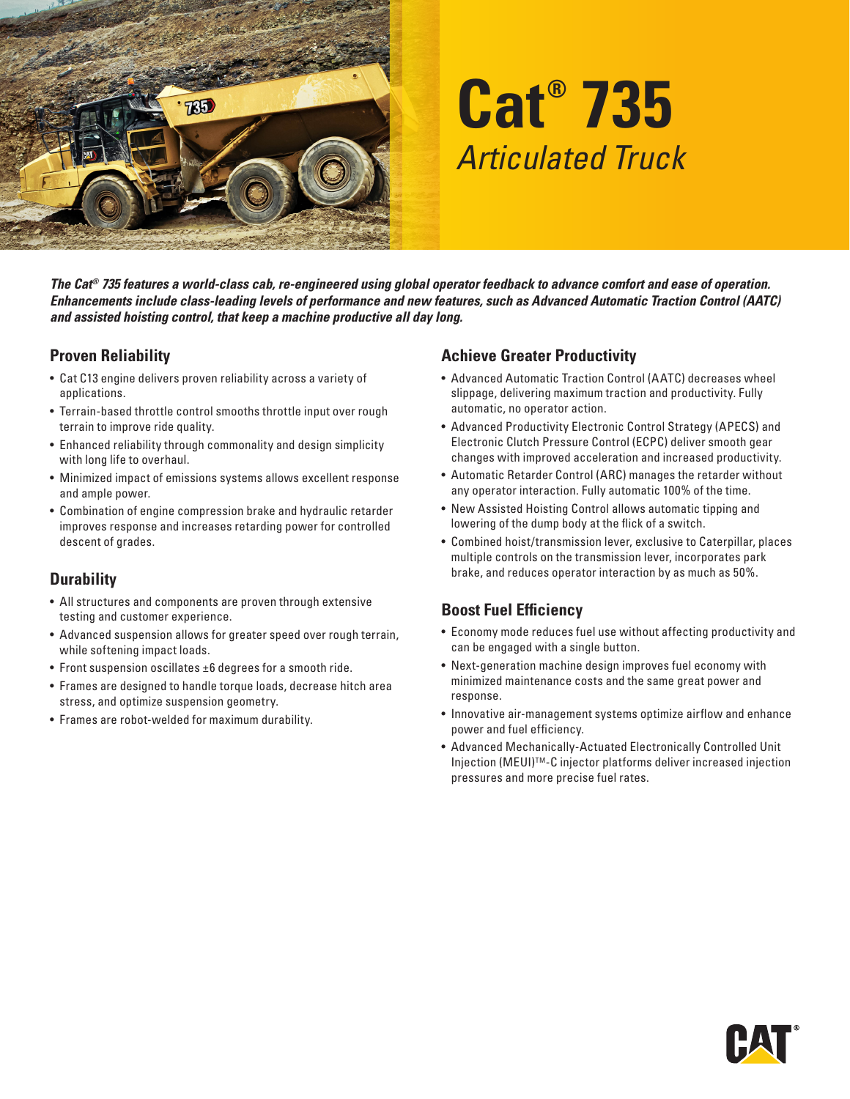

# **Cat® 735** *Articulated Truck*

*The Cat® 735 features a world-class cab, re-engineered using global operator feedback to advance comfort and ease of operation. Enhancements include class-leading levels of performance and new features, such as Advanced Automatic Traction Control (AATC) and assisted hoisting control, that keep a machine productive all day long.* 

#### **Proven Reliability**

- Cat C13 engine delivers proven reliability across a variety of applications.
- Terrain-based throttle control smooths throttle input over rough terrain to improve ride quality.
- Enhanced reliability through commonality and design simplicity with long life to overhaul.
- Minimized impact of emissions systems allows excellent response and ample power.
- Combination of engine compression brake and hydraulic retarder improves response and increases retarding power for controlled descent of grades.

## **Durability**

- All structures and components are proven through extensive testing and customer experience.
- Advanced suspension allows for greater speed over rough terrain, while softening impact loads.
- Front suspension oscillates ±6 degrees for a smooth ride.
- Frames are designed to handle torque loads, decrease hitch area stress, and optimize suspension geometry.
- Frames are robot-welded for maximum durability.

#### **Achieve Greater Productivity**

- Advanced Automatic Traction Control (AATC) decreases wheel slippage, delivering maximum traction and productivity. Fully automatic, no operator action.
- Advanced Productivity Electronic Control Strategy (APECS) and Electronic Clutch Pressure Control (ECPC) deliver smooth gear changes with improved acceleration and increased productivity.
- Automatic Retarder Control (ARC) manages the retarder without any operator interaction. Fully automatic 100% of the time.
- New Assisted Hoisting Control allows automatic tipping and lowering of the dump body at the flick of a switch.
- Combined hoist/transmission lever, exclusive to Caterpillar, places multiple controls on the transmission lever, incorporates park brake, and reduces operator interaction by as much as 50%.

## **Boost Fuel Efficiency**

- Economy mode reduces fuel use without affecting productivity and can be engaged with a single button.
- Next-generation machine design improves fuel economy with minimized maintenance costs and the same great power and response.
- Innovative air-management systems optimize airflow and enhance power and fuel efficiency.
- Advanced Mechanically-Actuated Electronically Controlled Unit Injection (MEUI)TM-C injector platforms deliver increased injection pressures and more precise fuel rates.

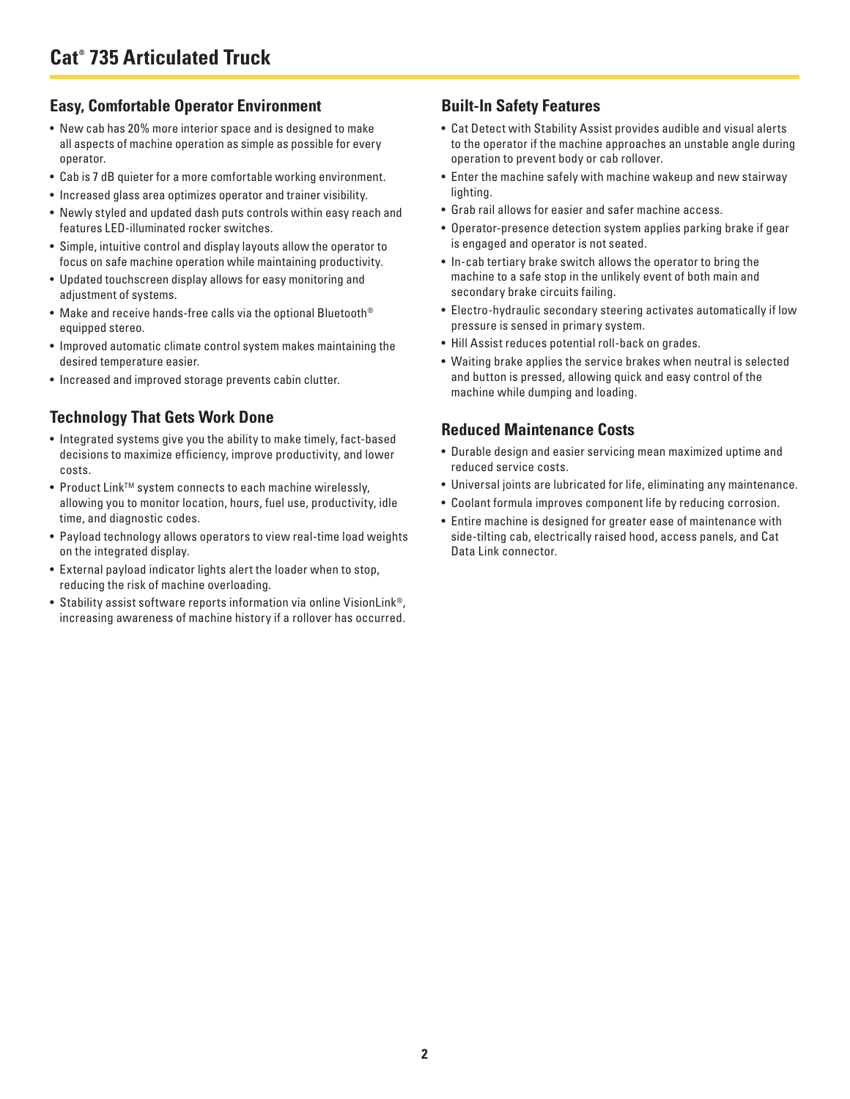#### **Easy, Comfortable Operator Environment**

- New cab has 20% more interior space and is designed to make all aspects of machine operation as simple as possible for every operator.
- Cab is 7 dB quieter for a more comfortable working environment.
- Increased glass area optimizes operator and trainer visibility.
- Newly styled and updated dash puts controls within easy reach and features LED-illuminated rocker switches.
- Simple, intuitive control and display layouts allow the operator to focus on safe machine operation while maintaining productivity.
- Updated touchscreen display allows for easy monitoring and adjustment of systems.
- Make and receive hands-free calls via the optional Bluetooth® equipped stereo.
- Improved automatic climate control system makes maintaining the desired temperature easier.
- Increased and improved storage prevents cabin clutter.

#### **Technology That Gets Work Done**

- Integrated systems give you the ability to make timely, fact-based decisions to maximize efficiency, improve productivity, and lower costs.
- Product Link<sup>™</sup> system connects to each machine wirelessly, allowing you to monitor location, hours, fuel use, productivity, idle time, and diagnostic codes.
- Payload technology allows operators to view real-time load weights on the integrated display.
- External payload indicator lights alert the loader when to stop, reducing the risk of machine overloading.
- Stability assist software reports information via online VisionLink®, increasing awareness of machine history if a rollover has occurred.

## **Built-In Safety Features**

- Cat Detect with Stability Assist provides audible and visual alerts to the operator if the machine approaches an unstable angle during operation to prevent body or cab rollover.
- Enter the machine safely with machine wakeup and new stairway lighting.
- Grab rail allows for easier and safer machine access.
- Operator-presence detection system applies parking brake if gear is engaged and operator is not seated.
- In-cab tertiary brake switch allows the operator to bring the machine to a safe stop in the unlikely event of both main and secondary brake circuits failing.
- Electro-hydraulic secondary steering activates automatically if low pressure is sensed in primary system.
- Hill Assist reduces potential roll-back on grades.
- Waiting brake applies the service brakes when neutral is selected and button is pressed, allowing quick and easy control of the machine while dumping and loading.

#### **Reduced Maintenance Costs**

- Durable design and easier servicing mean maximized uptime and reduced service costs.
- Universal joints are lubricated for life, eliminating any maintenance.
- Coolant formula improves component life by reducing corrosion.
- Entire machine is designed for greater ease of maintenance with side-tilting cab, electrically raised hood, access panels, and Cat Data Link connector.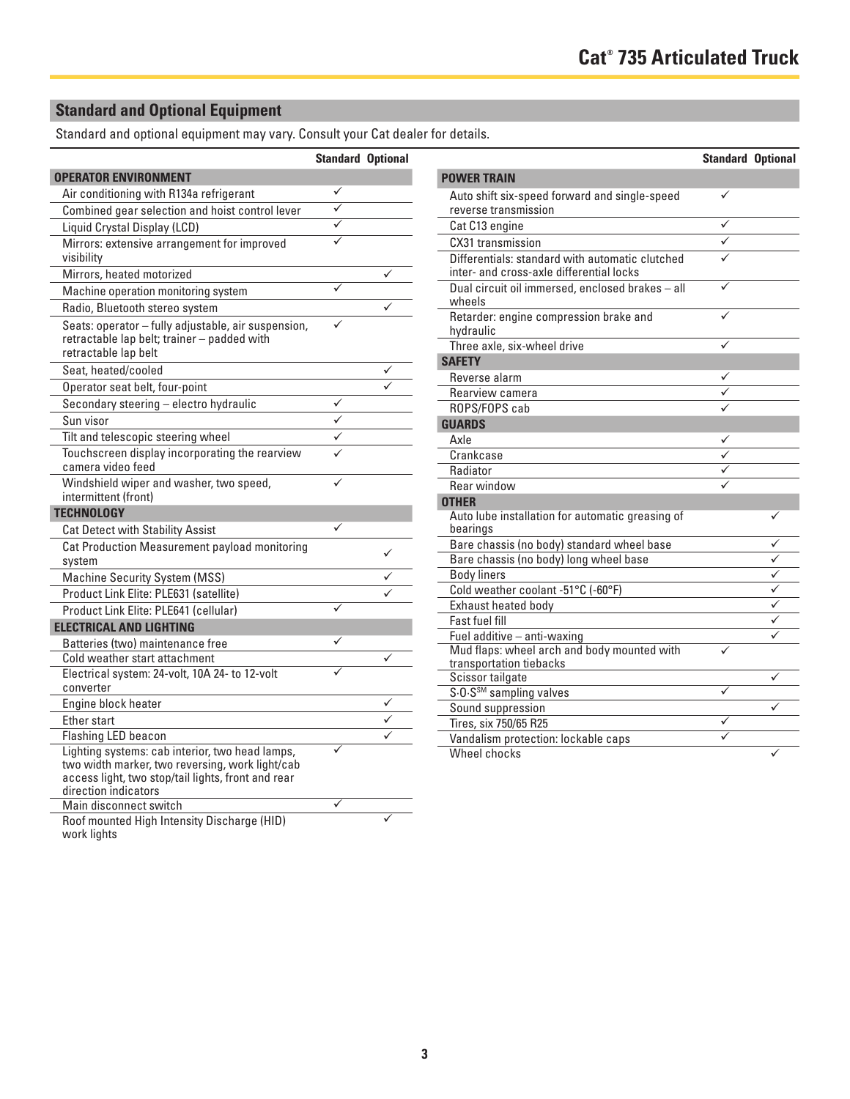## **Standard and Optional Equipment**

Standard and optional equipment may vary. Consult your Cat dealer for details.

|                                                                                                                                                                                  | <b>Standard Optional</b> |   |
|----------------------------------------------------------------------------------------------------------------------------------------------------------------------------------|--------------------------|---|
| <b>OPERATOR ENVIRONMENT</b>                                                                                                                                                      |                          |   |
| Air conditioning with R134a refrigerant                                                                                                                                          | ✓                        |   |
| Combined gear selection and hoist control lever                                                                                                                                  |                          |   |
| Liquid Crystal Display (LCD)                                                                                                                                                     |                          |   |
| Mirrors: extensive arrangement for improved<br>visibility                                                                                                                        |                          |   |
| Mirrors, heated motorized                                                                                                                                                        |                          | ✓ |
| Machine operation monitoring system                                                                                                                                              | ✓                        |   |
| Radio, Bluetooth stereo system                                                                                                                                                   |                          |   |
| Seats: operator - fully adjustable, air suspension,<br>retractable lap belt; trainer - padded with<br>retractable lap belt                                                       |                          |   |
| Seat, heated/cooled                                                                                                                                                              |                          |   |
| Operator seat belt, four-point                                                                                                                                                   |                          |   |
| Secondary steering - electro hydraulic                                                                                                                                           | ✓                        |   |
| Sun visor                                                                                                                                                                        |                          |   |
| Tilt and telescopic steering wheel                                                                                                                                               |                          |   |
| Touchscreen display incorporating the rearview<br>camera video feed                                                                                                              |                          |   |
| Windshield wiper and washer, two speed,<br>intermittent (front)                                                                                                                  |                          |   |
| <b>TECHNOLOGY</b>                                                                                                                                                                |                          |   |
| <b>Cat Detect with Stability Assist</b>                                                                                                                                          | ✓                        |   |
| Cat Production Measurement payload monitoring<br>system                                                                                                                          |                          | ✓ |
| <b>Machine Security System (MSS)</b>                                                                                                                                             |                          |   |
| Product Link Elite: PLE631 (satellite)                                                                                                                                           |                          |   |
| Product Link Elite: PLE641 (cellular)                                                                                                                                            | ✓                        |   |
| <b>ELECTRICAL AND LIGHTING</b>                                                                                                                                                   |                          |   |
| Batteries (two) maintenance free                                                                                                                                                 |                          |   |
| Cold weather start attachment                                                                                                                                                    |                          |   |
| Electrical system: 24-volt, 10A 24- to 12-volt<br>converter                                                                                                                      |                          |   |
| Engine block heater                                                                                                                                                              |                          |   |
| <b>Fther start</b>                                                                                                                                                               |                          |   |
| Flashing LED beacon                                                                                                                                                              |                          |   |
| Lighting systems: cab interior, two head lamps,<br>two width marker, two reversing, work light/cab<br>access light, two stop/tail lights, front and rear<br>direction indicators |                          |   |
| Main disconnect switch                                                                                                                                                           | ✓                        |   |
| Roof mounted High Intensity Discharge (HID)<br>work lights                                                                                                                       |                          |   |

|                                                                                             | <b>Standard Optional</b> |                         |
|---------------------------------------------------------------------------------------------|--------------------------|-------------------------|
| <b>POWER TRAIN</b>                                                                          |                          |                         |
| Auto shift six-speed forward and single-speed<br>reverse transmission                       | ✓                        |                         |
| Cat C13 engine                                                                              |                          |                         |
| CX31 transmission                                                                           |                          |                         |
| Differentials: standard with automatic clutched<br>inter- and cross-axle differential locks |                          |                         |
| Dual circuit oil immersed, enclosed brakes - all<br>wheels                                  | ✓                        |                         |
| Retarder: engine compression brake and<br>hydraulic                                         |                          |                         |
| Three axle, six-wheel drive                                                                 |                          |                         |
| <b>SAFETY</b>                                                                               |                          |                         |
| Reverse alarm                                                                               |                          |                         |
| Rearview camera                                                                             |                          |                         |
| ROPS/FOPS cab                                                                               |                          |                         |
| <b>GUARDS</b>                                                                               |                          |                         |
| Axle                                                                                        |                          |                         |
| Crankcase                                                                                   | $\frac{1}{1}$            |                         |
| Radiator                                                                                    |                          |                         |
| Rear window                                                                                 |                          |                         |
| <b>OTHER</b>                                                                                |                          |                         |
| Auto lube installation for automatic greasing of<br>bearings                                |                          | ✓                       |
| Bare chassis (no body) standard wheel base                                                  |                          | ✓                       |
| Bare chassis (no body) long wheel base                                                      |                          | ✓                       |
| <b>Body liners</b>                                                                          |                          | $\overline{\checkmark}$ |
| Cold weather coolant -51°C (-60°F)                                                          |                          | $\overline{\checkmark}$ |
| Exhaust heated body                                                                         |                          | ✓                       |
| <b>Fast fuel fill</b>                                                                       |                          | ✓                       |
| Fuel additive - anti-waxing                                                                 |                          |                         |
| Mud flaps: wheel arch and body mounted with<br>transportation tiebacks                      |                          |                         |
| Scissor tailgate                                                                            |                          | ✓                       |
| S.O.S <sup>SM</sup> sampling valves                                                         |                          |                         |
| Sound suppression                                                                           |                          | ✓                       |
| Tires, six 750/65 R25                                                                       |                          |                         |
| Vandalism protection: lockable caps                                                         |                          |                         |
| Wheel chocks                                                                                |                          | ✓                       |